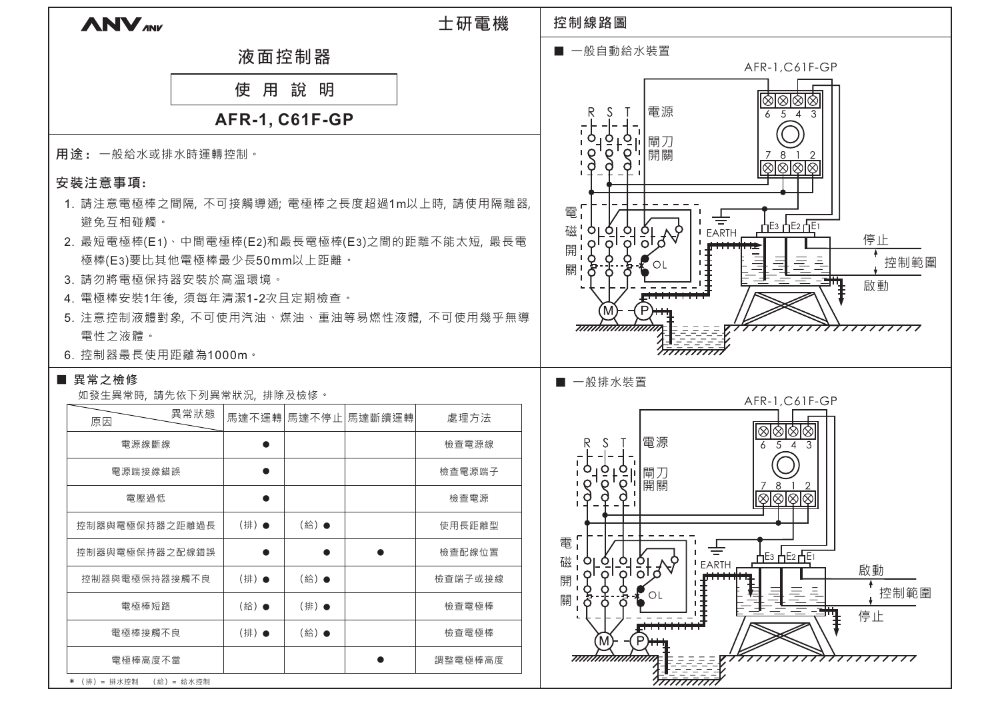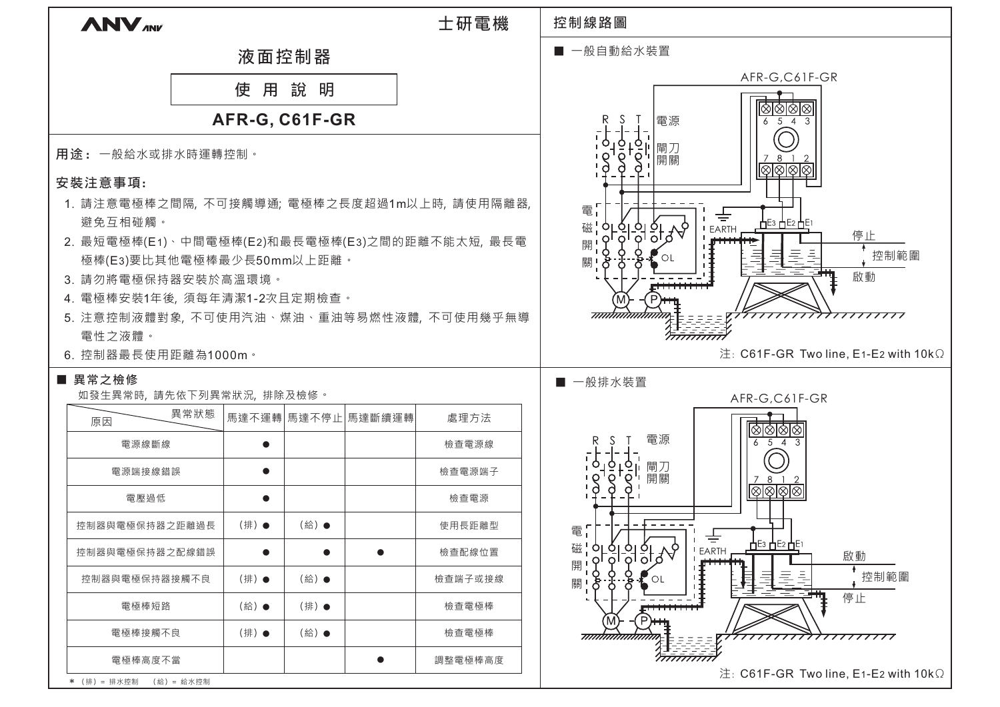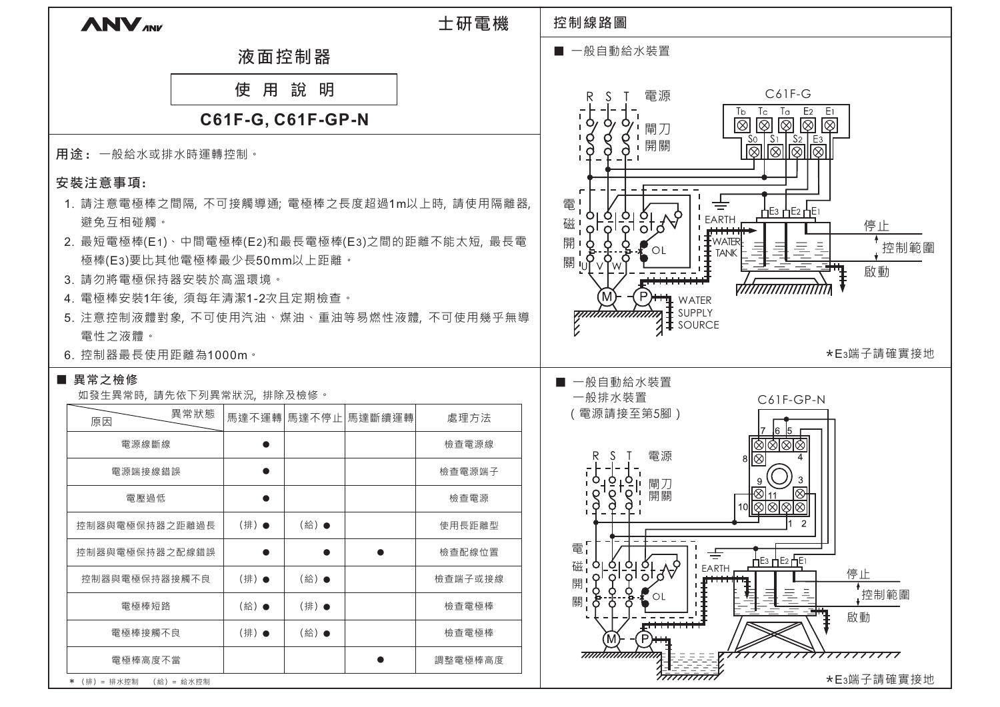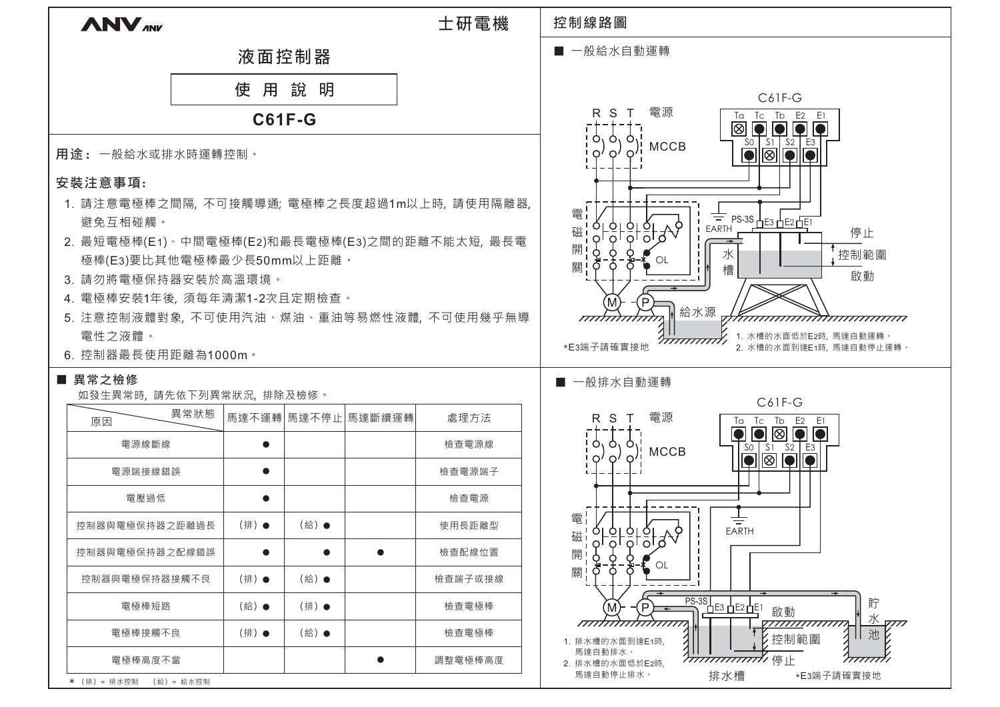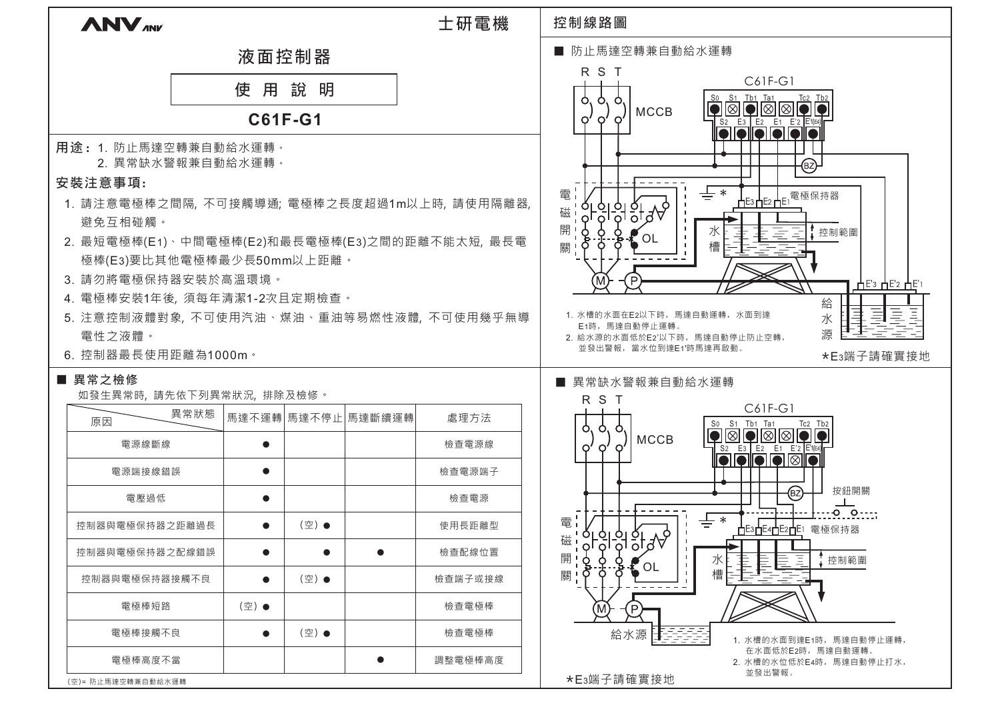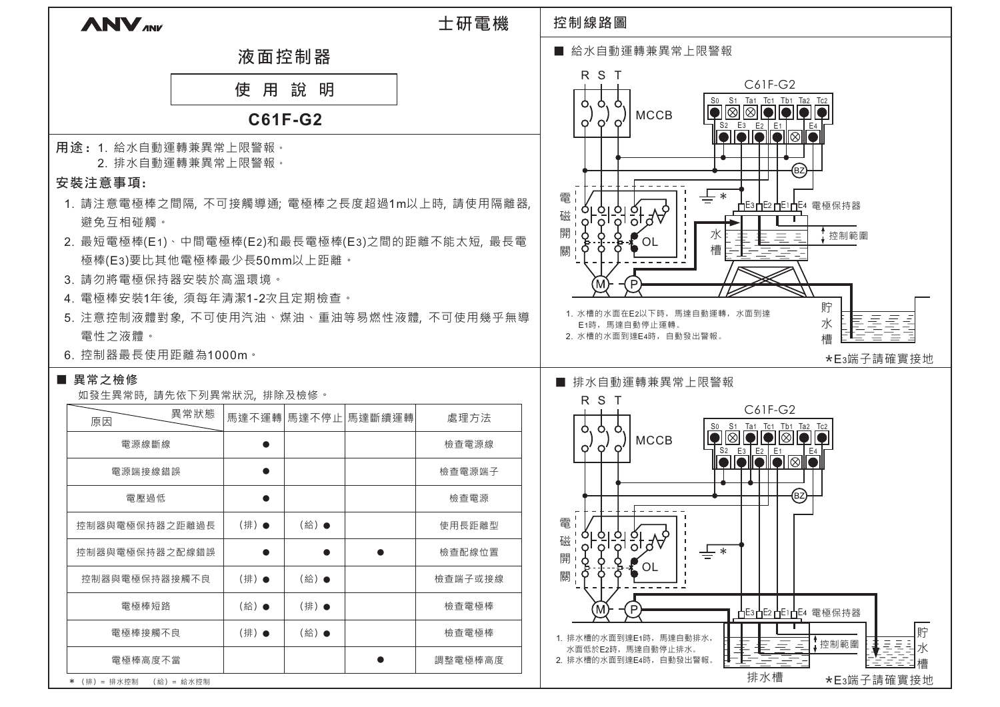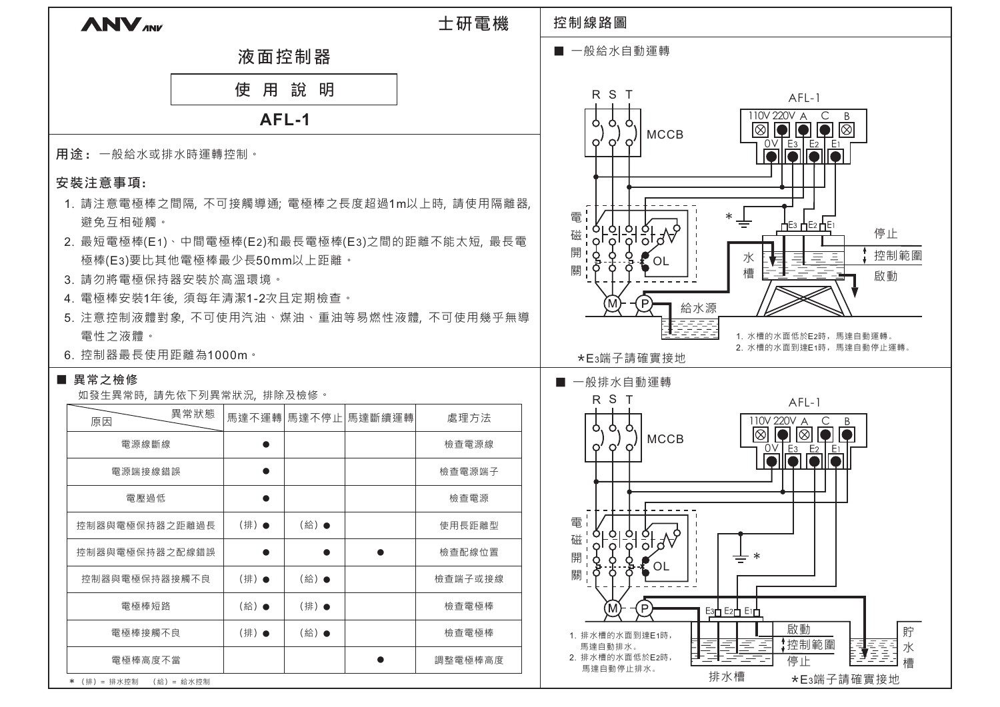